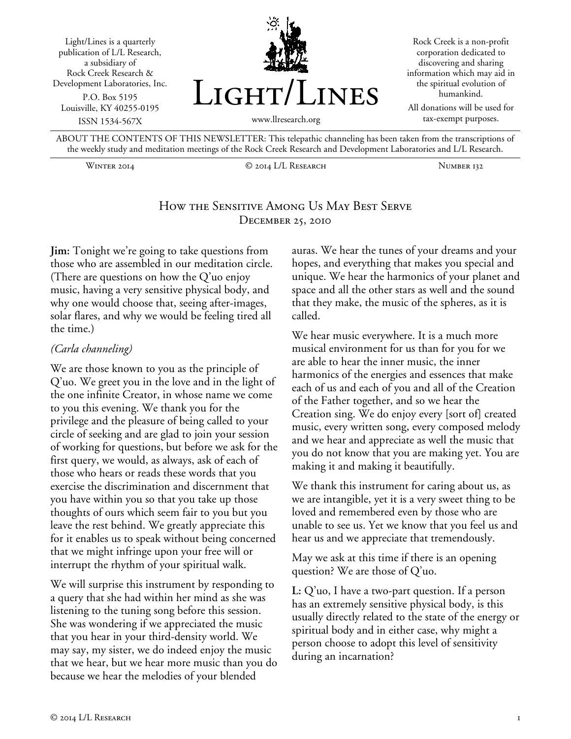



Rock Creek is a non-profit corporation dedicated to discovering and sharing information which may aid in the spiritual evolution of humankind.

All donations will be used for tax-exempt purposes.

ABOUT THE CONTENTS OF THIS NEWSLETTER: This telepathic channeling has been taken from the transcriptions of the weekly study and meditation meetings of the Rock Creek Research and Development Laboratories and L/L Research.

Winter 2014 © 2014 L/L Research Number 132

## How the Sensitive Among Us May Best Serve December 25, 2010

**Jim:** Tonight we're going to take questions from those who are assembled in our meditation circle. (There are questions on how the Q'uo enjoy music, having a very sensitive physical body, and why one would choose that, seeing after-images, solar flares, and why we would be feeling tired all the time.)

#### *(Carla channeling)*

We are those known to you as the principle of Q'uo. We greet you in the love and in the light of the one infinite Creator, in whose name we come to you this evening. We thank you for the privilege and the pleasure of being called to your circle of seeking and are glad to join your session of working for questions, but before we ask for the first query, we would, as always, ask of each of those who hears or reads these words that you exercise the discrimination and discernment that you have within you so that you take up those thoughts of ours which seem fair to you but you leave the rest behind. We greatly appreciate this for it enables us to speak without being concerned that we might infringe upon your free will or interrupt the rhythm of your spiritual walk.

We will surprise this instrument by responding to a query that she had within her mind as she was listening to the tuning song before this session. She was wondering if we appreciated the music that you hear in your third-density world. We may say, my sister, we do indeed enjoy the music that we hear, but we hear more music than you do because we hear the melodies of your blended

auras. We hear the tunes of your dreams and your hopes, and everything that makes you special and unique. We hear the harmonics of your planet and space and all the other stars as well and the sound that they make, the music of the spheres, as it is called.

We hear music everywhere. It is a much more musical environment for us than for you for we are able to hear the inner music, the inner harmonics of the energies and essences that make each of us and each of you and all of the Creation of the Father together, and so we hear the Creation sing. We do enjoy every [sort of] created music, every written song, every composed melody and we hear and appreciate as well the music that you do not know that you are making yet. You are making it and making it beautifully.

We thank this instrument for caring about us, as we are intangible, yet it is a very sweet thing to be loved and remembered even by those who are unable to see us. Yet we know that you feel us and hear us and we appreciate that tremendously.

May we ask at this time if there is an opening question? We are those of Q'uo.

**L:** Q'uo, I have a two-part question. If a person has an extremely sensitive physical body, is this usually directly related to the state of the energy or spiritual body and in either case, why might a person choose to adopt this level of sensitivity during an incarnation?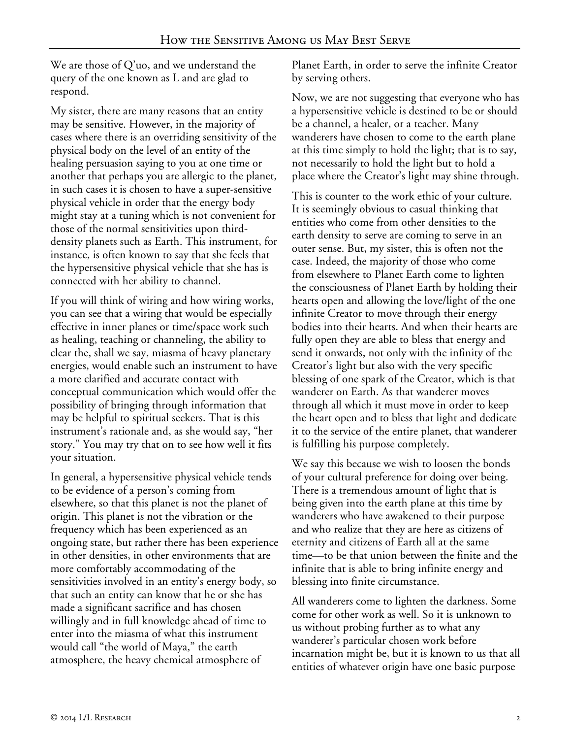We are those of Q'uo, and we understand the query of the one known as L and are glad to respond.

My sister, there are many reasons that an entity may be sensitive. However, in the majority of cases where there is an overriding sensitivity of the physical body on the level of an entity of the healing persuasion saying to you at one time or another that perhaps you are allergic to the planet, in such cases it is chosen to have a super-sensitive physical vehicle in order that the energy body might stay at a tuning which is not convenient for those of the normal sensitivities upon thirddensity planets such as Earth. This instrument, for instance, is often known to say that she feels that the hypersensitive physical vehicle that she has is connected with her ability to channel.

If you will think of wiring and how wiring works, you can see that a wiring that would be especially effective in inner planes or time/space work such as healing, teaching or channeling, the ability to clear the, shall we say, miasma of heavy planetary energies, would enable such an instrument to have a more clarified and accurate contact with conceptual communication which would offer the possibility of bringing through information that may be helpful to spiritual seekers. That is this instrument's rationale and, as she would say, "her story." You may try that on to see how well it fits your situation.

In general, a hypersensitive physical vehicle tends to be evidence of a person's coming from elsewhere, so that this planet is not the planet of origin. This planet is not the vibration or the frequency which has been experienced as an ongoing state, but rather there has been experience in other densities, in other environments that are more comfortably accommodating of the sensitivities involved in an entity's energy body, so that such an entity can know that he or she has made a significant sacrifice and has chosen willingly and in full knowledge ahead of time to enter into the miasma of what this instrument would call "the world of Maya," the earth atmosphere, the heavy chemical atmosphere of

Planet Earth, in order to serve the infinite Creator by serving others.

Now, we are not suggesting that everyone who has a hypersensitive vehicle is destined to be or should be a channel, a healer, or a teacher. Many wanderers have chosen to come to the earth plane at this time simply to hold the light; that is to say, not necessarily to hold the light but to hold a place where the Creator's light may shine through.

This is counter to the work ethic of your culture. It is seemingly obvious to casual thinking that entities who come from other densities to the earth density to serve are coming to serve in an outer sense. But, my sister, this is often not the case. Indeed, the majority of those who come from elsewhere to Planet Earth come to lighten the consciousness of Planet Earth by holding their hearts open and allowing the love/light of the one infinite Creator to move through their energy bodies into their hearts. And when their hearts are fully open they are able to bless that energy and send it onwards, not only with the infinity of the Creator's light but also with the very specific blessing of one spark of the Creator, which is that wanderer on Earth. As that wanderer moves through all which it must move in order to keep the heart open and to bless that light and dedicate it to the service of the entire planet, that wanderer is fulfilling his purpose completely.

We say this because we wish to loosen the bonds of your cultural preference for doing over being. There is a tremendous amount of light that is being given into the earth plane at this time by wanderers who have awakened to their purpose and who realize that they are here as citizens of eternity and citizens of Earth all at the same time—to be that union between the finite and the infinite that is able to bring infinite energy and blessing into finite circumstance.

All wanderers come to lighten the darkness. Some come for other work as well. So it is unknown to us without probing further as to what any wanderer's particular chosen work before incarnation might be, but it is known to us that all entities of whatever origin have one basic purpose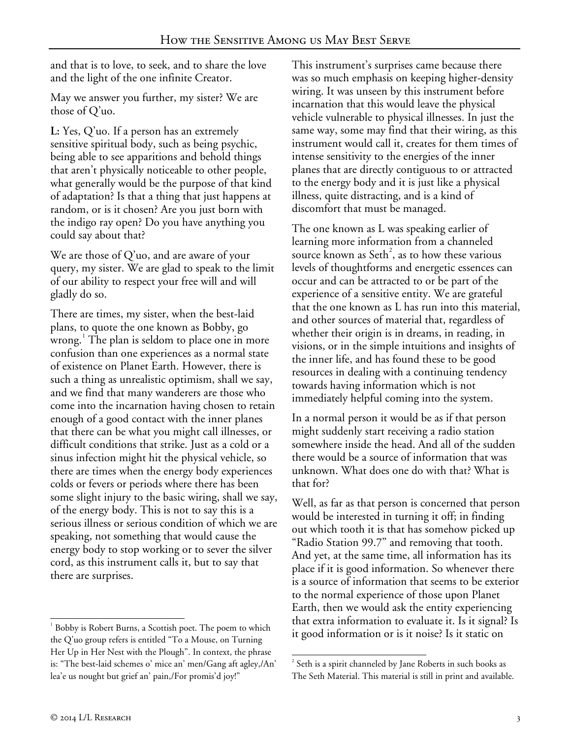and that is to love, to seek, and to share the love and the light of the one infinite Creator.

May we answer you further, my sister? We are those of Q'uo.

**L:** Yes, Q'uo. If a person has an extremely sensitive spiritual body, such as being psychic, being able to see apparitions and behold things that aren't physically noticeable to other people, what generally would be the purpose of that kind of adaptation? Is that a thing that just happens at random, or is it chosen? Are you just born with the indigo ray open? Do you have anything you could say about that?

We are those of Q'uo, and are aware of your query, my sister. We are glad to speak to the limit of our ability to respect your free will and will gladly do so.

There are times, my sister, when the best-laid plans, to quote the one known as Bobby, go wrong.[1](#page-2-0) The plan is seldom to place one in more confusion than one experiences as a normal state of existence on Planet Earth. However, there is such a thing as unrealistic optimism, shall we say, and we find that many wanderers are those who come into the incarnation having chosen to retain enough of a good contact with the inner planes that there can be what you might call illnesses, or difficult conditions that strike. Just as a cold or a sinus infection might hit the physical vehicle, so there are times when the energy body experiences colds or fevers or periods where there has been some slight injury to the basic wiring, shall we say, of the energy body. This is not to say this is a serious illness or serious condition of which we are speaking, not something that would cause the energy body to stop working or to sever the silver cord, as this instrument calls it, but to say that there are surprises.

This instrument's surprises came because there was so much emphasis on keeping higher-density wiring. It was unseen by this instrument before incarnation that this would leave the physical vehicle vulnerable to physical illnesses. In just the same way, some may find that their wiring, as this instrument would call it, creates for them times of intense sensitivity to the energies of the inner planes that are directly contiguous to or attracted to the energy body and it is just like a physical illness, quite distracting, and is a kind of discomfort that must be managed.

The one known as L was speaking earlier of learning more information from a channeled source known as Seth<sup>[2](#page-2-1)</sup>, as to how these various levels of thoughtforms and energetic essences can occur and can be attracted to or be part of the experience of a sensitive entity. We are grateful that the one known as L has run into this material, and other sources of material that, regardless of whether their origin is in dreams, in reading, in visions, or in the simple intuitions and insights of the inner life, and has found these to be good resources in dealing with a continuing tendency towards having information which is not immediately helpful coming into the system.

In a normal person it would be as if that person might suddenly start receiving a radio station somewhere inside the head. And all of the sudden there would be a source of information that was unknown. What does one do with that? What is that for?

Well, as far as that person is concerned that person would be interested in turning it off; in finding out which tooth it is that has somehow picked up "Radio Station 99.7" and removing that tooth. And yet, at the same time, all information has its place if it is good information. So whenever there is a source of information that seems to be exterior to the normal experience of those upon Planet Earth, then we would ask the entity experiencing that extra information to evaluate it. Is it signal? Is it good information or is it noise? Is it static on

<span id="page-2-1"></span><span id="page-2-0"></span><sup>&</sup>lt;sup>1</sup> Bobby is Robert Burns, a Scottish poet. The poem to which the Q'uo group refers is entitled "To a Mouse, on Turning Her Up in Her Nest with the Plough". In context, the phrase is: "The best-laid schemes o' mice an' men/Gang aft agley,/An' lea'e us nought but grief an' pain,/For promis'd joy!" j

 $2^{2}$  Seth is a spirit channeled by Jane Roberts in such books as The Seth Material. This material is still in print and available. -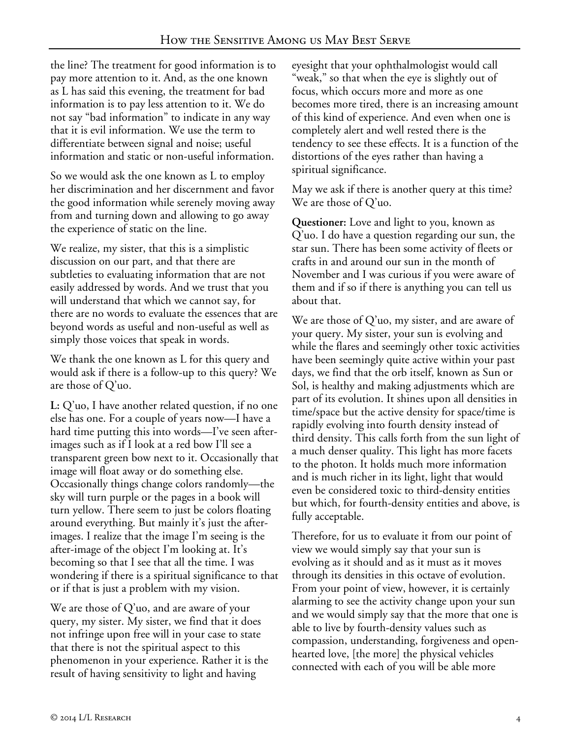the line? The treatment for good information is to pay more attention to it. And, as the one known as L has said this evening, the treatment for bad information is to pay less attention to it. We do not say "bad information" to indicate in any way that it is evil information. We use the term to differentiate between signal and noise; useful information and static or non-useful information.

So we would ask the one known as L to employ her discrimination and her discernment and favor the good information while serenely moving away from and turning down and allowing to go away the experience of static on the line.

We realize, my sister, that this is a simplistic discussion on our part, and that there are subtleties to evaluating information that are not easily addressed by words. And we trust that you will understand that which we cannot say, for there are no words to evaluate the essences that are beyond words as useful and non-useful as well as simply those voices that speak in words.

We thank the one known as L for this query and would ask if there is a follow-up to this query? We are those of Q'uo.

**L:** Q'uo, I have another related question, if no one else has one. For a couple of years now—I have a hard time putting this into words—I've seen afterimages such as if I look at a red bow I'll see a transparent green bow next to it. Occasionally that image will float away or do something else. Occasionally things change colors randomly—the sky will turn purple or the pages in a book will turn yellow. There seem to just be colors floating around everything. But mainly it's just the afterimages. I realize that the image I'm seeing is the after-image of the object I'm looking at. It's becoming so that I see that all the time. I was wondering if there is a spiritual significance to that or if that is just a problem with my vision.

We are those of Q'uo, and are aware of your query, my sister. My sister, we find that it does not infringe upon free will in your case to state that there is not the spiritual aspect to this phenomenon in your experience. Rather it is the result of having sensitivity to light and having

eyesight that your ophthalmologist would call "weak," so that when the eye is slightly out of focus, which occurs more and more as one becomes more tired, there is an increasing amount of this kind of experience. And even when one is completely alert and well rested there is the tendency to see these effects. It is a function of the distortions of the eyes rather than having a spiritual significance.

May we ask if there is another query at this time? We are those of Q'uo.

**Questioner:** Love and light to you, known as Q'uo. I do have a question regarding our sun, the star sun. There has been some activity of fleets or crafts in and around our sun in the month of November and I was curious if you were aware of them and if so if there is anything you can tell us about that.

We are those of Q'uo, my sister, and are aware of your query. My sister, your sun is evolving and while the flares and seemingly other toxic activities have been seemingly quite active within your past days, we find that the orb itself, known as Sun or Sol, is healthy and making adjustments which are part of its evolution. It shines upon all densities in time/space but the active density for space/time is rapidly evolving into fourth density instead of third density. This calls forth from the sun light of a much denser quality. This light has more facets to the photon. It holds much more information and is much richer in its light, light that would even be considered toxic to third-density entities but which, for fourth-density entities and above, is fully acceptable.

Therefore, for us to evaluate it from our point of view we would simply say that your sun is evolving as it should and as it must as it moves through its densities in this octave of evolution. From your point of view, however, it is certainly alarming to see the activity change upon your sun and we would simply say that the more that one is able to live by fourth-density values such as compassion, understanding, forgiveness and openhearted love, [the more] the physical vehicles connected with each of you will be able more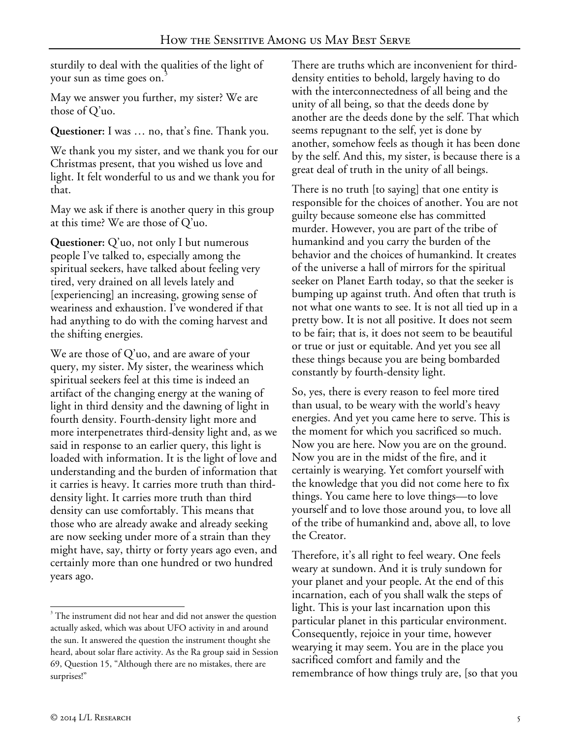sturdily to deal with the qualities of the light of your sun as time goes on.

May we answer you further, my sister? We are those of Q'uo.

**Questioner:** I was … no, that's fine. Thank you.

We thank you my sister, and we thank you for our Christmas present, that you wished us love and light. It felt wonderful to us and we thank you for that.

May we ask if there is another query in this group at this time? We are those of Q'uo.

**Questioner:** Q'uo, not only I but numerous people I've talked to, especially among the spiritual seekers, have talked about feeling very tired, very drained on all levels lately and [experiencing] an increasing, growing sense of weariness and exhaustion. I've wondered if that had anything to do with the coming harvest and the shifting energies.

We are those of Q'uo, and are aware of your query, my sister. My sister, the weariness which spiritual seekers feel at this time is indeed an artifact of the changing energy at the waning of light in third density and the dawning of light in fourth density. Fourth-density light more and more interpenetrates third-density light and, as we said in response to an earlier query, this light is loaded with information. It is the light of love and understanding and the burden of information that it carries is heavy. It carries more truth than thirddensity light. It carries more truth than third density can use comfortably. This means that those who are already awake and already seeking are now seeking under more of a strain than they might have, say, thirty or forty years ago even, and certainly more than one hundred or two hundred years ago.

There are truths which are inconvenient for thirddensity entities to behold, largely having to do with the interconnectedness of all being and the unity of all being, so that the deeds done by another are the deeds done by the self. That which seems repugnant to the self, yet is done by another, somehow feels as though it has been done by the self. And this, my sister, is because there is a great deal of truth in the unity of all beings.

There is no truth [to saying] that one entity is responsible for the choices of another. You are not guilty because someone else has committed murder. However, you are part of the tribe of humankind and you carry the burden of the behavior and the choices of humankind. It creates of the universe a hall of mirrors for the spiritual seeker on Planet Earth today, so that the seeker is bumping up against truth. And often that truth is not what one wants to see. It is not all tied up in a pretty bow. It is not all positive. It does not seem to be fair; that is, it does not seem to be beautiful or true or just or equitable. And yet you see all these things because you are being bombarded constantly by fourth-density light.

So, yes, there is every reason to feel more tired than usual, to be weary with the world's heavy energies. And yet you came here to serve. This is the moment for which you sacrificed so much. Now you are here. Now you are on the ground. Now you are in the midst of the fire, and it certainly is wearying. Yet comfort yourself with the knowledge that you did not come here to fix things. You came here to love things—to love yourself and to love those around you, to love all of the tribe of humankind and, above all, to love the Creator.

Therefore, it's all right to feel weary. One feels weary at sundown. And it is truly sundown for your planet and your people. At the end of this incarnation, each of you shall walk the steps of light. This is your last incarnation upon this particular planet in this particular environment. Consequently, rejoice in your time, however wearying it may seem. You are in the place you sacrificed comfort and family and the remembrance of how things truly are, [so that you

<span id="page-4-0"></span><sup>&</sup>lt;sup>3</sup> The instrument did not hear and did not answer the question actually asked, which was about UFO activity in and around the sun. It answered the question the instrument thought she heard, about solar flare activity. As the Ra group said in Session 69, Question 15, "Although there are no mistakes, there are surprises!" -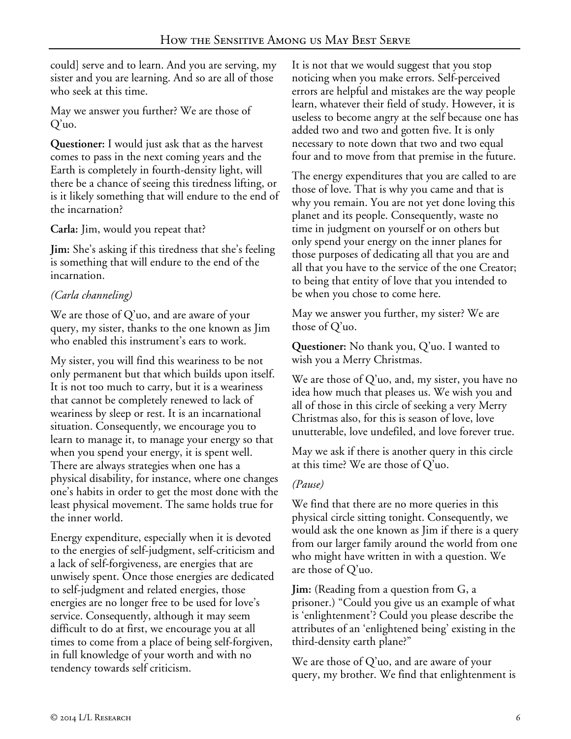could] serve and to learn. And you are serving, my sister and you are learning. And so are all of those who seek at this time.

May we answer you further? We are those of Q'uo.

**Questioner:** I would just ask that as the harvest comes to pass in the next coming years and the Earth is completely in fourth-density light, will there be a chance of seeing this tiredness lifting, or is it likely something that will endure to the end of the incarnation?

**Carla:** Jim, would you repeat that?

**Jim:** She's asking if this tiredness that she's feeling is something that will endure to the end of the incarnation.

# *(Carla channeling)*

We are those of Q'uo, and are aware of your query, my sister, thanks to the one known as Jim who enabled this instrument's ears to work.

My sister, you will find this weariness to be not only permanent but that which builds upon itself. It is not too much to carry, but it is a weariness that cannot be completely renewed to lack of weariness by sleep or rest. It is an incarnational situation. Consequently, we encourage you to learn to manage it, to manage your energy so that when you spend your energy, it is spent well. There are always strategies when one has a physical disability, for instance, where one changes one's habits in order to get the most done with the least physical movement. The same holds true for the inner world.

Energy expenditure, especially when it is devoted to the energies of self-judgment, self-criticism and a lack of self-forgiveness, are energies that are unwisely spent. Once those energies are dedicated to self-judgment and related energies, those energies are no longer free to be used for love's service. Consequently, although it may seem difficult to do at first, we encourage you at all times to come from a place of being self-forgiven, in full knowledge of your worth and with no tendency towards self criticism.

It is not that we would suggest that you stop noticing when you make errors. Self-perceived errors are helpful and mistakes are the way people learn, whatever their field of study. However, it is useless to become angry at the self because one has added two and two and gotten five. It is only necessary to note down that two and two equal four and to move from that premise in the future.

The energy expenditures that you are called to are those of love. That is why you came and that is why you remain. You are not yet done loving this planet and its people. Consequently, waste no time in judgment on yourself or on others but only spend your energy on the inner planes for those purposes of dedicating all that you are and all that you have to the service of the one Creator; to being that entity of love that you intended to be when you chose to come here.

May we answer you further, my sister? We are those of Q'uo.

**Questioner:** No thank you, Q'uo. I wanted to wish you a Merry Christmas.

We are those of Q'uo, and, my sister, you have no idea how much that pleases us. We wish you and all of those in this circle of seeking a very Merry Christmas also, for this is season of love, love unutterable, love undefiled, and love forever true.

May we ask if there is another query in this circle at this time? We are those of Q'uo.

## *(Pause)*

We find that there are no more queries in this physical circle sitting tonight. Consequently, we would ask the one known as Jim if there is a query from our larger family around the world from one who might have written in with a question. We are those of Q'uo.

**Jim:** (Reading from a question from G, a prisoner.) "Could you give us an example of what is 'enlightenment'? Could you please describe the attributes of an 'enlightened being' existing in the third-density earth plane?"

We are those of Q'uo, and are aware of your query, my brother. We find that enlightenment is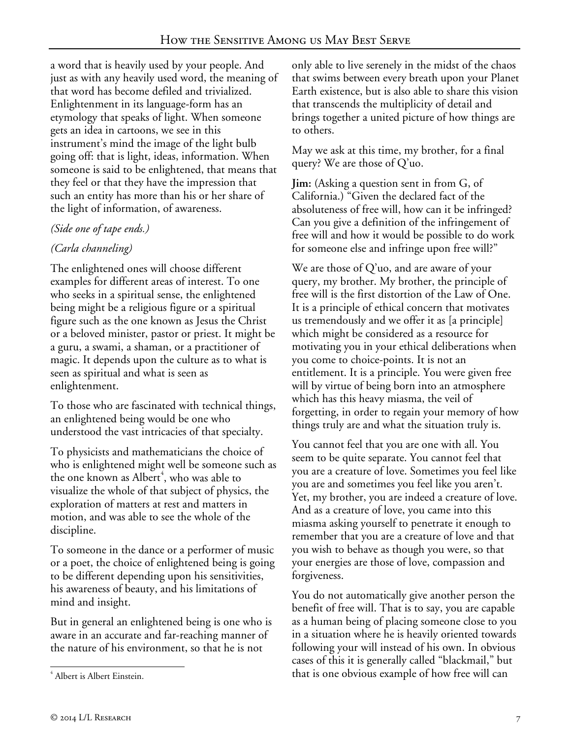a word that is heavily used by your people. And just as with any heavily used word, the meaning of that word has become defiled and trivialized. Enlightenment in its language-form has an etymology that speaks of light. When someone gets an idea in cartoons, we see in this instrument's mind the image of the light bulb going off: that is light, ideas, information. When someone is said to be enlightened, that means that they feel or that they have the impression that such an entity has more than his or her share of the light of information, of awareness.

### *(Side one of tape ends.)*

# *(Carla channeling)*

The enlightened ones will choose different examples for different areas of interest. To one who seeks in a spiritual sense, the enlightened being might be a religious figure or a spiritual figure such as the one known as Jesus the Christ or a beloved minister, pastor or priest. It might be a guru, a swami, a shaman, or a practitioner of magic. It depends upon the culture as to what is seen as spiritual and what is seen as enlightenment.

To those who are fascinated with technical things, an enlightened being would be one who understood the vast intricacies of that specialty.

To physicists and mathematicians the choice of who is enlightened might well be someone such as the one known as Albert<sup>[4](#page-6-0)</sup>, who was able to visualize the whole of that subject of physics, the exploration of matters at rest and matters in motion, and was able to see the whole of the discipline.

To someone in the dance or a performer of music or a poet, the choice of enlightened being is going to be different depending upon his sensitivities, his awareness of beauty, and his limitations of mind and insight.

But in general an enlightened being is one who is aware in an accurate and far-reaching manner of the nature of his environment, so that he is not

only able to live serenely in the midst of the chaos that swims between every breath upon your Planet Earth existence, but is also able to share this vision that transcends the multiplicity of detail and brings together a united picture of how things are to others.

May we ask at this time, my brother, for a final query? We are those of Q'uo.

**Jim:** (Asking a question sent in from G, of California.) "Given the declared fact of the absoluteness of free will, how can it be infringed? Can you give a definition of the infringement of free will and how it would be possible to do work for someone else and infringe upon free will?"

We are those of Q'uo, and are aware of your query, my brother. My brother, the principle of free will is the first distortion of the Law of One. It is a principle of ethical concern that motivates us tremendously and we offer it as [a principle] which might be considered as a resource for motivating you in your ethical deliberations when you come to choice-points. It is not an entitlement. It is a principle. You were given free will by virtue of being born into an atmosphere which has this heavy miasma, the veil of forgetting, in order to regain your memory of how things truly are and what the situation truly is.

You cannot feel that you are one with all. You seem to be quite separate. You cannot feel that you are a creature of love. Sometimes you feel like you are and sometimes you feel like you aren't. Yet, my brother, you are indeed a creature of love. And as a creature of love, you came into this miasma asking yourself to penetrate it enough to remember that you are a creature of love and that you wish to behave as though you were, so that your energies are those of love, compassion and forgiveness.

You do not automatically give another person the benefit of free will. That is to say, you are capable as a human being of placing someone close to you in a situation where he is heavily oriented towards following your will instead of his own. In obvious cases of this it is generally called "blackmail," but that is one obvious example of how free will can

<span id="page-6-0"></span><sup>4</sup> Albert is Albert Einstein.  $\overline{a}$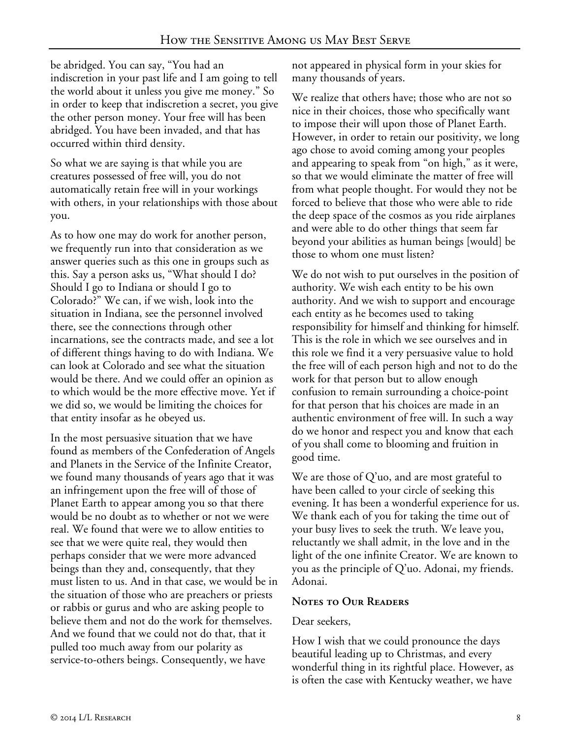be abridged. You can say, "You had an indiscretion in your past life and I am going to tell the world about it unless you give me money." So in order to keep that indiscretion a secret, you give the other person money. Your free will has been abridged. You have been invaded, and that has occurred within third density.

So what we are saying is that while you are creatures possessed of free will, you do not automatically retain free will in your workings with others, in your relationships with those about you.

As to how one may do work for another person, we frequently run into that consideration as we answer queries such as this one in groups such as this. Say a person asks us, "What should I do? Should I go to Indiana or should I go to Colorado?" We can, if we wish, look into the situation in Indiana, see the personnel involved there, see the connections through other incarnations, see the contracts made, and see a lot of different things having to do with Indiana. We can look at Colorado and see what the situation would be there. And we could offer an opinion as to which would be the more effective move. Yet if we did so, we would be limiting the choices for that entity insofar as he obeyed us.

In the most persuasive situation that we have found as members of the Confederation of Angels and Planets in the Service of the Infinite Creator, we found many thousands of years ago that it was an infringement upon the free will of those of Planet Earth to appear among you so that there would be no doubt as to whether or not we were real. We found that were we to allow entities to see that we were quite real, they would then perhaps consider that we were more advanced beings than they and, consequently, that they must listen to us. And in that case, we would be in the situation of those who are preachers or priests or rabbis or gurus and who are asking people to believe them and not do the work for themselves. And we found that we could not do that, that it pulled too much away from our polarity as service-to-others beings. Consequently, we have

not appeared in physical form in your skies for many thousands of years.

We realize that others have; those who are not so nice in their choices, those who specifically want to impose their will upon those of Planet Earth. However, in order to retain our positivity, we long ago chose to avoid coming among your peoples and appearing to speak from "on high," as it were, so that we would eliminate the matter of free will from what people thought. For would they not be forced to believe that those who were able to ride the deep space of the cosmos as you ride airplanes and were able to do other things that seem far beyond your abilities as human beings [would] be those to whom one must listen?

We do not wish to put ourselves in the position of authority. We wish each entity to be his own authority. And we wish to support and encourage each entity as he becomes used to taking responsibility for himself and thinking for himself. This is the role in which we see ourselves and in this role we find it a very persuasive value to hold the free will of each person high and not to do the work for that person but to allow enough confusion to remain surrounding a choice-point for that person that his choices are made in an authentic environment of free will. In such a way do we honor and respect you and know that each of you shall come to blooming and fruition in good time.

We are those of Q'uo, and are most grateful to have been called to your circle of seeking this evening. It has been a wonderful experience for us. We thank each of you for taking the time out of your busy lives to seek the truth. We leave you, reluctantly we shall admit, in the love and in the light of the one infinite Creator. We are known to you as the principle of Q'uo. Adonai, my friends. Adonai.

### **Notes to Our Readers**

### Dear seekers,

How I wish that we could pronounce the days beautiful leading up to Christmas, and every wonderful thing in its rightful place. However, as is often the case with Kentucky weather, we have